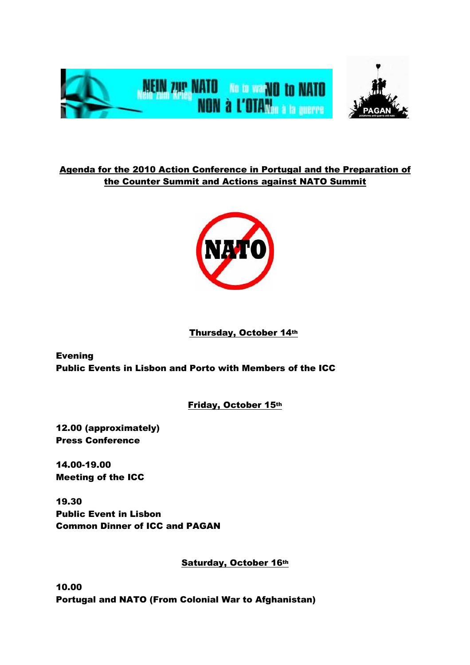

Agenda for the 2010 Action Conference in Portugal and the Preparation of the Counter Summit and Actions against NATO Summit



## Thursday, October 14th

Evening Public Events in Lisbon and Porto with Members of the ICC

Friday, October 15th

12.00 (approximately) Press Conference

14.00-19.00 Meeting of the ICC

19.30 Public Event in Lisbon Common Dinner of ICC and PAGAN

Saturday, October 16th

10.00 Portugal and NATO (From Colonial War to Afghanistan)